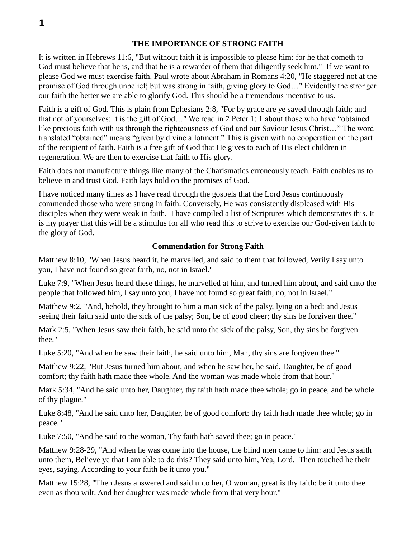## **THE IMPORTANCE OF STRONG FAITH**

It is written in Hebrews 11:6, "But without faith it is impossible to please him: for he that cometh to God must believe that he is, and that he is a rewarder of them that diligently seek him." If we want to please God we must exercise faith. Paul wrote about Abraham in Romans 4:20, "He staggered not at the promise of God through unbelief; but was strong in faith, giving glory to God…" Evidently the stronger our faith the better we are able to glorify God. This should be a tremendous incentive to us.

Faith is a gift of God. This is plain from Ephesians 2:8, "For by grace are ye saved through faith; and that not of yourselves: it is the gift of God…" We read in 2 Peter 1: 1 about those who have "obtained like precious faith with us through the righteousness of God and our Saviour Jesus Christ…" The word translated "obtained" means "given by divine allotment." This is given with no cooperation on the part of the recipient of faith. Faith is a free gift of God that He gives to each of His elect children in regeneration. We are then to exercise that faith to His glory.

Faith does not manufacture things like many of the Charismatics erroneously teach. Faith enables us to believe in and trust God. Faith lays hold on the promises of God.

I have noticed many times as I have read through the gospels that the Lord Jesus continuously commended those who were strong in faith. Conversely, He was consistently displeased with His disciples when they were weak in faith. I have compiled a list of Scriptures which demonstrates this. It is my prayer that this will be a stimulus for all who read this to strive to exercise our God-given faith to the glory of God.

## **Commendation for Strong Faith**

Matthew 8:10, "When Jesus heard it, he marvelled, and said to them that followed, Verily I say unto you, I have not found so great faith, no, not in Israel."

Luke 7:9, "When Jesus heard these things, he marvelled at him, and turned him about, and said unto the people that followed him, I say unto you, I have not found so great faith, no, not in Israel."

Matthew 9:2, "And, behold, they brought to him a man sick of the palsy, lying on a bed: and Jesus seeing their faith said unto the sick of the palsy; Son, be of good cheer; thy sins be forgiven thee."

Mark 2:5, "When Jesus saw their faith, he said unto the sick of the palsy, Son, thy sins be forgiven thee."

Luke 5:20, "And when he saw their faith, he said unto him, Man, thy sins are forgiven thee."

Matthew 9:22, "But Jesus turned him about, and when he saw her, he said, Daughter, be of good comfort; thy faith hath made thee whole. And the woman was made whole from that hour."

Mark 5:34, "And he said unto her, Daughter, thy faith hath made thee whole; go in peace, and be whole of thy plague."

Luke 8:48, "And he said unto her, Daughter, be of good comfort: thy faith hath made thee whole; go in peace."

Luke 7:50, "And he said to the woman, Thy faith hath saved thee; go in peace."

Matthew 9:28-29, "And when he was come into the house, the blind men came to him: and Jesus saith unto them, Believe ye that I am able to do this? They said unto him, Yea, Lord. Then touched he their eyes, saying, According to your faith be it unto you."

Matthew 15:28, "Then Jesus answered and said unto her, O woman, great is thy faith: be it unto thee even as thou wilt. And her daughter was made whole from that very hour."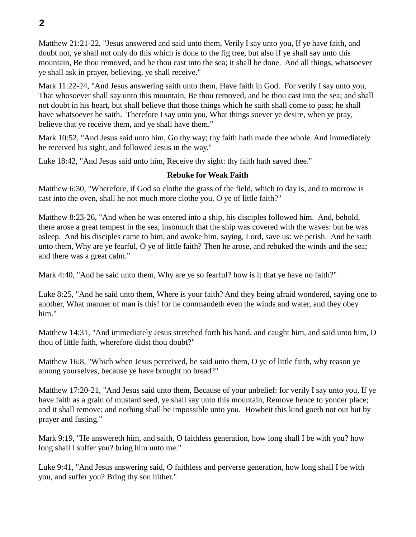Matthew 21:21-22, "Jesus answered and said unto them, Verily I say unto you, If ye have faith, and doubt not, ye shall not only do this which is done to the fig tree, but also if ye shall say unto this mountain, Be thou removed, and be thou cast into the sea; it shall be done. And all things, whatsoever ye shall ask in prayer, believing, ye shall receive."

Mark 11:22-24, "And Jesus answering saith unto them, Have faith in God. For verily I say unto you, That whosoever shall say unto this mountain, Be thou removed, and be thou cast into the sea; and shall not doubt in his heart, but shall believe that those things which he saith shall come to pass; he shall have whatsoever he saith. Therefore I say unto you, What things soever ye desire, when ye pray, believe that ye receive them, and ye shall have them."

Mark 10:52, "And Jesus said unto him, Go thy way; thy faith hath made thee whole. And immediately he received his sight, and followed Jesus in the way."

Luke 18:42, "And Jesus said unto him, Receive thy sight: thy faith hath saved thee."

## **Rebuke for Weak Faith**

Matthew 6:30, "Wherefore, if God so clothe the grass of the field, which to day is, and to morrow is cast into the oven, shall he not much more clothe you, O ye of little faith?"

Matthew 8:23-26, "And when he was entered into a ship, his disciples followed him. And, behold, there arose a great tempest in the sea, insomuch that the ship was covered with the waves: but he was asleep. And his disciples came to him, and awoke him, saying, Lord, save us: we perish. And he saith unto them, Why are ye fearful, O ye of little faith? Then he arose, and rebuked the winds and the sea; and there was a great calm."

Mark 4:40, "And he said unto them, Why are ye so fearful? how is it that ye have no faith?"

Luke 8:25, "And he said unto them, Where is your faith? And they being afraid wondered, saying one to another, What manner of man is this! for he commandeth even the winds and water, and they obey him."

Matthew 14:31, "And immediately Jesus stretched forth his hand, and caught him, and said unto him, O thou of little faith, wherefore didst thou doubt?"

Matthew 16:8, "Which when Jesus perceived, he said unto them, O ye of little faith, why reason ye among yourselves, because ye have brought no bread?"

Matthew 17:20-21, "And Jesus said unto them, Because of your unbelief: for verily I say unto you, If ye have faith as a grain of mustard seed, ye shall say unto this mountain, Remove hence to yonder place; and it shall remove; and nothing shall be impossible unto you. Howbeit this kind goeth not out but by prayer and fasting."

Mark 9:19, "He answereth him, and saith, O faithless generation, how long shall I be with you? how long shall I suffer you? bring him unto me."

Luke 9:41, "And Jesus answering said, O faithless and perverse generation, how long shall I be with you, and suffer you? Bring thy son hither."